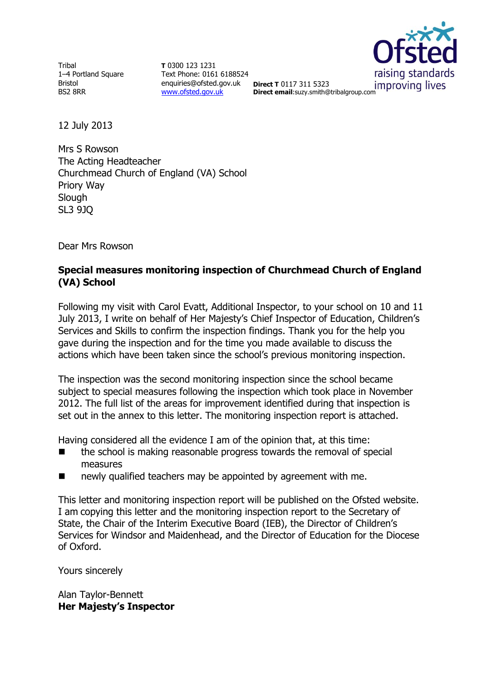**Tribal** 1–4 Portland Square Bristol BS2 8RR

**T** 0300 123 1231 Text Phone: 0161 6188524 enquiries@ofsted.gov.uk pirect T 0117 311 5323 [www.ofsted.gov.uk](http://www.ofsted.gov.uk/)



**Direct T** 0117 311 5323 **Direct email**:suzy.smith@tribalgroup.com

12 July 2013

Mrs S Rowson The Acting Headteacher Churchmead Church of England (VA) School Priory Way **Slough** SL3 9JQ

Dear Mrs Rowson

### **Special measures monitoring inspection of Churchmead Church of England (VA) School**

Following my visit with Carol Evatt, Additional Inspector, to your school on 10 and 11 July 2013, I write on behalf of Her Majesty's Chief Inspector of Education, Children's Services and Skills to confirm the inspection findings. Thank you for the help you gave during the inspection and for the time you made available to discuss the actions which have been taken since the school's previous monitoring inspection.

The inspection was the second monitoring inspection since the school became subject to special measures following the inspection which took place in November 2012. The full list of the areas for improvement identified during that inspection is set out in the annex to this letter. The monitoring inspection report is attached.

Having considered all the evidence I am of the opinion that, at this time:

- $\blacksquare$  the school is making reasonable progress towards the removal of special measures
- **newly qualified teachers may be appointed by agreement with me.**

This letter and monitoring inspection report will be published on the Ofsted website. I am copying this letter and the monitoring inspection report to the Secretary of State, the Chair of the Interim Executive Board (IEB), the Director of Children's Services for Windsor and Maidenhead, and the Director of Education for the Diocese of Oxford.

Yours sincerely

Alan Taylor-Bennett **Her Majesty's Inspector**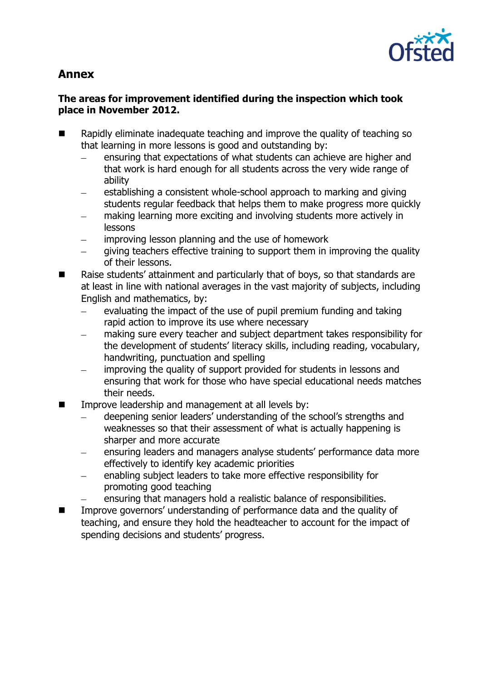

# **Annex**

# **The areas for improvement identified during the inspection which took place in November 2012.**

- Rapidly eliminate inadequate teaching and improve the quality of teaching so that learning in more lessons is good and outstanding by:
	- ensuring that expectations of what students can achieve are higher and that work is hard enough for all students across the very wide range of ability
	- establishing a consistent whole-school approach to marking and giving students regular feedback that helps them to make progress more quickly
	- making learning more exciting and involving students more actively in lessons
	- improving lesson planning and the use of homework
	- giving teachers effective training to support them in improving the quality of their lessons.
- Raise students' attainment and particularly that of boys, so that standards are at least in line with national averages in the vast majority of subjects, including English and mathematics, by:
	- evaluating the impact of the use of pupil premium funding and taking  $\equiv$ rapid action to improve its use where necessary
	- making sure every teacher and subject department takes responsibility for the development of students' literacy skills, including reading, vocabulary, handwriting, punctuation and spelling
	- improving the quality of support provided for students in lessons and ensuring that work for those who have special educational needs matches their needs.
- $\blacksquare$  Improve leadership and management at all levels by:
	- deepening senior leaders' understanding of the school's strengths and weaknesses so that their assessment of what is actually happening is sharper and more accurate
	- ensuring leaders and managers analyse students' performance data more effectively to identify key academic priorities
	- enabling subject leaders to take more effective responsibility for promoting good teaching
	- ensuring that managers hold a realistic balance of responsibilities.
- Improve governors' understanding of performance data and the quality of teaching, and ensure they hold the headteacher to account for the impact of spending decisions and students' progress.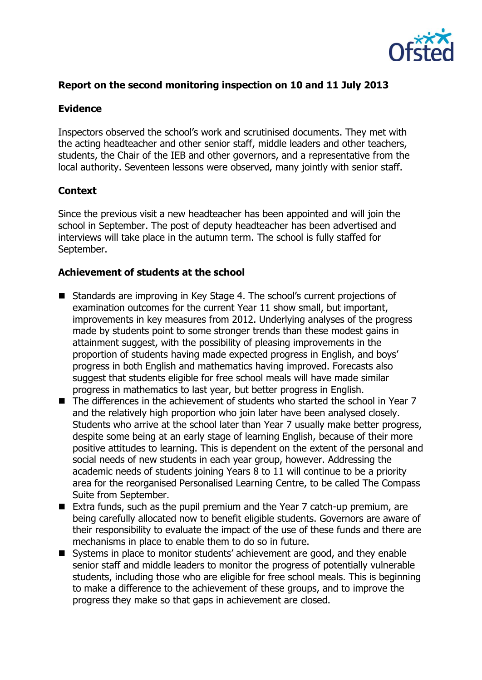

### **Report on the second monitoring inspection on 10 and 11 July 2013**

#### **Evidence**

Inspectors observed the school's work and scrutinised documents. They met with the acting headteacher and other senior staff, middle leaders and other teachers, students, the Chair of the IEB and other governors, and a representative from the local authority. Seventeen lessons were observed, many jointly with senior staff.

### **Context**

Since the previous visit a new headteacher has been appointed and will join the school in September. The post of deputy headteacher has been advertised and interviews will take place in the autumn term. The school is fully staffed for September.

#### **Achievement of students at the school**

- Standards are improving in Key Stage 4. The school's current projections of examination outcomes for the current Year 11 show small, but important, improvements in key measures from 2012. Underlying analyses of the progress made by students point to some stronger trends than these modest gains in attainment suggest, with the possibility of pleasing improvements in the proportion of students having made expected progress in English, and boys' progress in both English and mathematics having improved. Forecasts also suggest that students eligible for free school meals will have made similar progress in mathematics to last year, but better progress in English.
- The differences in the achievement of students who started the school in Year 7 and the relatively high proportion who join later have been analysed closely. Students who arrive at the school later than Year 7 usually make better progress, despite some being at an early stage of learning English, because of their more positive attitudes to learning. This is dependent on the extent of the personal and social needs of new students in each year group, however. Addressing the academic needs of students joining Years 8 to 11 will continue to be a priority area for the reorganised Personalised Learning Centre, to be called The Compass Suite from September.
- Extra funds, such as the pupil premium and the Year 7 catch-up premium, are being carefully allocated now to benefit eligible students. Governors are aware of their responsibility to evaluate the impact of the use of these funds and there are mechanisms in place to enable them to do so in future.
- Systems in place to monitor students' achievement are good, and they enable senior staff and middle leaders to monitor the progress of potentially vulnerable students, including those who are eligible for free school meals. This is beginning to make a difference to the achievement of these groups, and to improve the progress they make so that gaps in achievement are closed.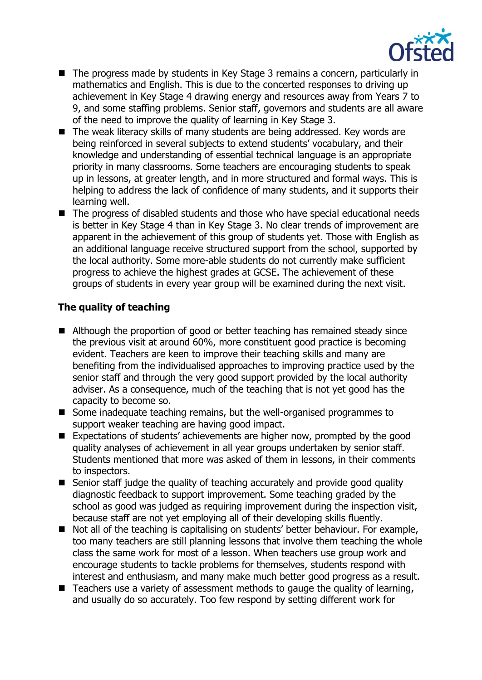

- The progress made by students in Key Stage 3 remains a concern, particularly in mathematics and English. This is due to the concerted responses to driving up achievement in Key Stage 4 drawing energy and resources away from Years 7 to 9, and some staffing problems. Senior staff, governors and students are all aware of the need to improve the quality of learning in Key Stage 3.
- The weak literacy skills of many students are being addressed. Key words are being reinforced in several subjects to extend students' vocabulary, and their knowledge and understanding of essential technical language is an appropriate priority in many classrooms. Some teachers are encouraging students to speak up in lessons, at greater length, and in more structured and formal ways. This is helping to address the lack of confidence of many students, and it supports their learning well.
- The progress of disabled students and those who have special educational needs is better in Key Stage 4 than in Key Stage 3. No clear trends of improvement are apparent in the achievement of this group of students yet. Those with English as an additional language receive structured support from the school, supported by the local authority. Some more-able students do not currently make sufficient progress to achieve the highest grades at GCSE. The achievement of these groups of students in every year group will be examined during the next visit.

# **The quality of teaching**

- Although the proportion of good or better teaching has remained steady since the previous visit at around 60%, more constituent good practice is becoming evident. Teachers are keen to improve their teaching skills and many are benefiting from the individualised approaches to improving practice used by the senior staff and through the very good support provided by the local authority adviser. As a consequence, much of the teaching that is not yet good has the capacity to become so.
- Some inadequate teaching remains, but the well-organised programmes to support weaker teaching are having good impact.
- Expectations of students' achievements are higher now, prompted by the good quality analyses of achievement in all year groups undertaken by senior staff. Students mentioned that more was asked of them in lessons, in their comments to inspectors.
- Senior staff judge the quality of teaching accurately and provide good quality diagnostic feedback to support improvement. Some teaching graded by the school as good was judged as requiring improvement during the inspection visit, because staff are not yet employing all of their developing skills fluently.
- Not all of the teaching is capitalising on students' better behaviour. For example, too many teachers are still planning lessons that involve them teaching the whole class the same work for most of a lesson. When teachers use group work and encourage students to tackle problems for themselves, students respond with interest and enthusiasm, and many make much better good progress as a result.
- Teachers use a variety of assessment methods to gauge the quality of learning, and usually do so accurately. Too few respond by setting different work for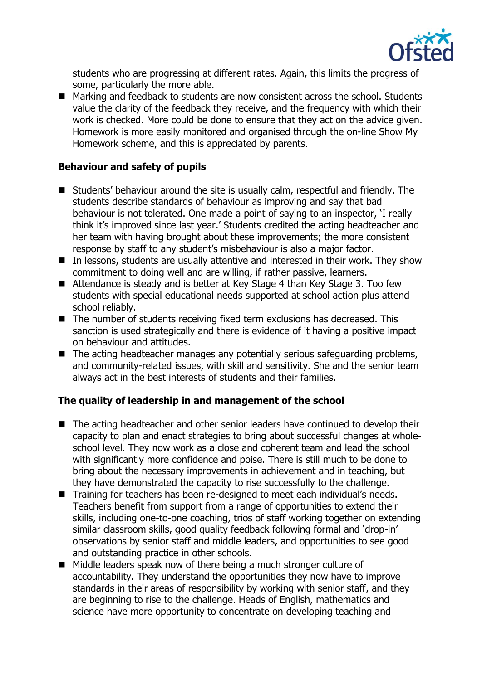

students who are progressing at different rates. Again, this limits the progress of some, particularly the more able.

■ Marking and feedback to students are now consistent across the school. Students value the clarity of the feedback they receive, and the frequency with which their work is checked. More could be done to ensure that they act on the advice given. Homework is more easily monitored and organised through the on-line Show My Homework scheme, and this is appreciated by parents.

# **Behaviour and safety of pupils**

- Students' behaviour around the site is usually calm, respectful and friendly. The students describe standards of behaviour as improving and say that bad behaviour is not tolerated. One made a point of saying to an inspector, 'I really think it's improved since last year.' Students credited the acting headteacher and her team with having brought about these improvements; the more consistent response by staff to any student's misbehaviour is also a major factor.
- In lessons, students are usually attentive and interested in their work. They show commitment to doing well and are willing, if rather passive, learners.
- Attendance is steady and is better at Key Stage 4 than Key Stage 3. Too few students with special educational needs supported at school action plus attend school reliably.
- The number of students receiving fixed term exclusions has decreased. This sanction is used strategically and there is evidence of it having a positive impact on behaviour and attitudes.
- The acting headteacher manages any potentially serious safeguarding problems, and community-related issues, with skill and sensitivity. She and the senior team always act in the best interests of students and their families.

### **The quality of leadership in and management of the school**

- The acting headteacher and other senior leaders have continued to develop their capacity to plan and enact strategies to bring about successful changes at wholeschool level. They now work as a close and coherent team and lead the school with significantly more confidence and poise. There is still much to be done to bring about the necessary improvements in achievement and in teaching, but they have demonstrated the capacity to rise successfully to the challenge.
- Training for teachers has been re-designed to meet each individual's needs. Teachers benefit from support from a range of opportunities to extend their skills, including one-to-one coaching, trios of staff working together on extending similar classroom skills, good quality feedback following formal and 'drop-in' observations by senior staff and middle leaders, and opportunities to see good and outstanding practice in other schools.
- Middle leaders speak now of there being a much stronger culture of accountability. They understand the opportunities they now have to improve standards in their areas of responsibility by working with senior staff, and they are beginning to rise to the challenge. Heads of English, mathematics and science have more opportunity to concentrate on developing teaching and